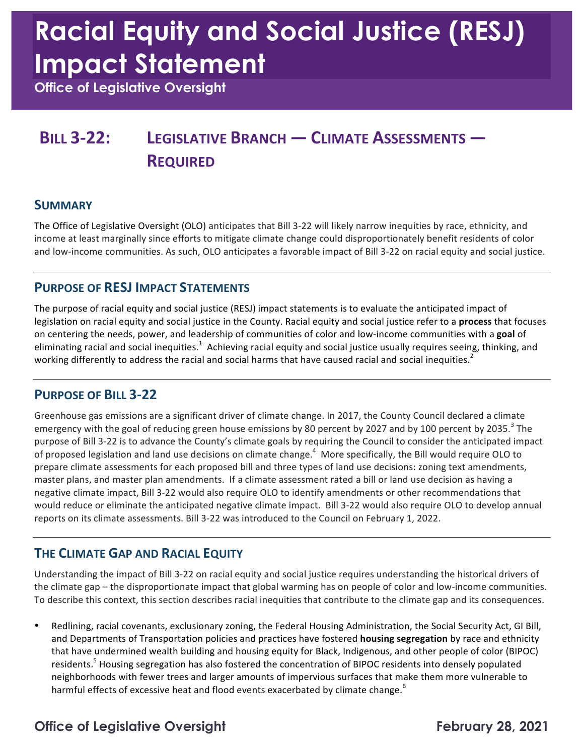# **Racial Equity and Social Justice (RESJ) Impact Statement**

 **Office of Legislative Oversight** 

### **BILL 3-22: LEGISLATIVE BRANCH — CLIMATE ASSESSMENTS — REQUIRED**

### **SUMMARY**

The Office of Legislative Oversight (OLO) anticipates that Bill 3-22 will likely narrow inequities by race, ethnicity, and income at least marginally since efforts to mitigate climate change could disproportionately benefit residents of color and low-income communities. As such, OLO anticipates a favorable impact of Bill 3-22 on racial equity and social justice.

### **PURPOSE OF RESJ IMPACT STATEMENTS**

The purpose of racial equity and social justice (RESJ) impact statements is to evaluate the anticipated impact of legislation on racial equity and social justice in the County. Racial equity and social justice refer to a **process** that focuses on centering the needs, power, and leadership of communities of color and low-income communities with a goal of eliminating racial and social inequities.<sup>1</sup> Achieving racial equity and social justice usually requires seeing, thinking, and working differently to address the racial and social harms that have caused racial and social inequities.<sup>2</sup>

### **PURPOSE OF BILL 3-22**

Greenhouse gas emissions are a significant driver of climate change. In 2017, the County Council declared a climate emergency with the goal of reducing green house emissions by 80 percent by 2027 and by 100 percent by 2035.<sup>3</sup> The purpose of Bill 3-22 is to advance the County's climate goals by requiring the Council to consider the anticipated impact of proposed legislation and land use decisions on climate change.<sup>4</sup> More specifically, the Bill would require OLO to prepare climate assessments for each proposed bill and three types of land use decisions: zoning text amendments, negative climate impact, Bill 3-22 would also require OLO to identify amendments or other recommendations that would reduce or eliminate the anticipated negative climate impact. Bill 3-22 would also require OLO to develop annual reports on its climate assessments. Bill 3-22 was introduced to the Council on February 1, 2022. master plans, and master plan amendments. If a climate assessment rated a bill or land use decision as having a

### **THE CLIMATE GAP AND RACIAL EQUITY**

Understanding the impact of Bill 3-22 on racial equity and social justice requires understanding the historical drivers of the climate gap – the disproportionate impact that global warming has on people of color and low-income communities. To describe this context, this section describes racial inequities that contribute to the climate gap and its consequences.

 • Redlining, racial covenants, exclusionary zoning, the Federal Housing Administration, the Social Security Act, GI Bill, and Departments of Transportation policies and practices have fostered **housing segregation** by race and ethnicity that have undermined wealth building and housing equity for Black, Indigenous, and other people of color (BIPOC) residents.<sup>5</sup> Housing segregation has also fostered the concentration of BIPOC residents into densely populated neighborhoods with fewer trees and larger amounts of impervious surfaces that make them more vulnerable to harmful effects of excessive heat and flood events exacerbated by climate change.<sup>6</sup>

### **Office of Legislative Oversight February 28, 2021**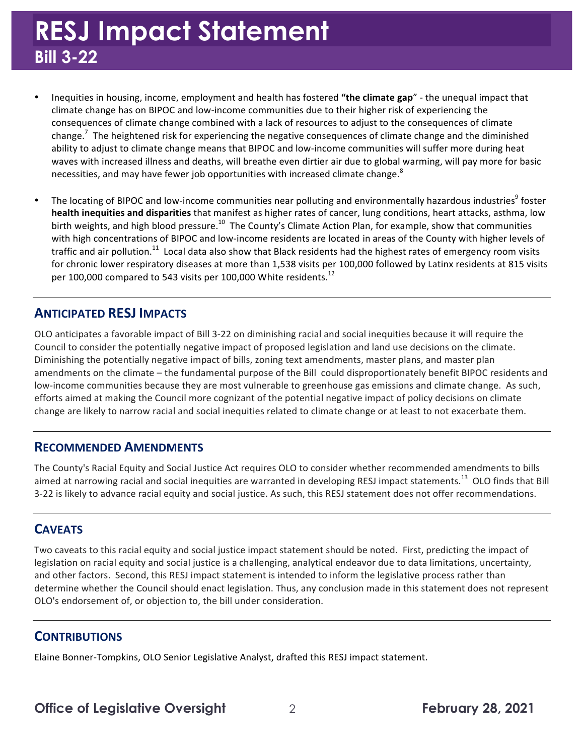## **RESJ Impact Statement Bill 3-22**

- Inequities in housing, income, employment and health has fostered "the climate gap" the unequal impact that climate change has on BIPOC and low-income communities due to their higher risk of experiencing the consequences of climate change combined with a lack of resources to adjust to the consequences of climate change.<sup>7</sup> The heightened risk for experiencing the negative consequences of climate change and the diminished ability to adjust to climate change means that BIPOC and low-income communities will suffer more during heat waves with increased illness and deaths, will breathe even dirtier air due to global warming, will pay more for basic necessities, and may have fewer job opportunities with increased climate change.<sup>8</sup>
- The locating of BIPOC and low-income communities near polluting and environmentally hazardous industries<sup>9</sup> foster **health inequities and disparities** that manifest as higher rates of cancer, lung conditions, heart attacks, asthma, low birth weights, and high blood pressure.<sup>10</sup> The County's Climate Action Plan, for example, show that communities with high concentrations of BIPOC and low-income residents are located in areas of the County with higher levels of traffic and air [pollution.](https://pollution.11)<sup>11</sup> Local data also show that Black residents had the highest rates of emergency room visits for chronic lower respiratory diseases at more than 1,538 visits per 100,000 followed by Latinx residents at 815 visits per 100,000 compared to 543 visits per 100,000 White residents. $^{12}$

### **ANTICIPATED RESJ IMPACTS**

OLO anticipates a favorable impact of Bill 3-22 on diminishing racial and social inequities because it will require the Council to consider the potentially negative impact of proposed legislation and land use decisions on the climate. Diminishing the potentially negative impact of bills, zoning text amendments, master plans, and master plan amendments on the climate – the fundamental purpose of the Bill could disproportionately benefit BIPOC residents and low-income communities because they are most vulnerable to greenhouse gas emissions and climate change. As such, efforts aimed at making the Council more cognizant of the potential negative impact of policy decisions on climate change are likely to narrow racial and social inequities related to climate change or at least to not exacerbate them.

#### **RECOMMENDED AMENDMENTS**

 The County's Racial Equity and Social Justice Act requires OLO to consider whether recommended amendments to bills aimed at narrowing racial and social inequities are warranted in developing RESJ impact [statements.](https://statements.13)<sup>13</sup> OLO finds that Bill 3-22 is likely to advance racial equity and social justice. As such, this RESJ statement does not offer recommendations.

### **CAVEATS**

 Two caveats to this racial equity and social justice impact statement should be noted. First, predicting the impact of and other factors. Second, this RESJ impact statement is intended to inform the legislative process rather than determine whether the Council should enact legislation. Thus, any conclusion made in this statement does not represent OLO's endorsement of, or objection to, the bill under consideration. legislation on racial equity and social justice is a challenging, analytical endeavor due to data limitations, uncertainty,

#### **CONTRIBUTIONS**

Elaine Bonner-Tompkins, OLO Senior Legislative Analyst, drafted this RESJ impact statement.